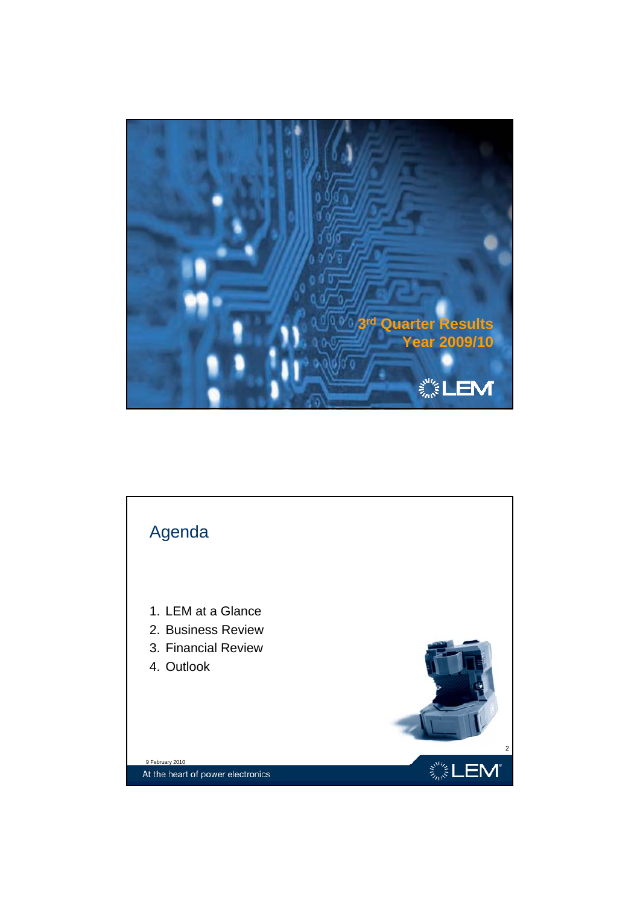

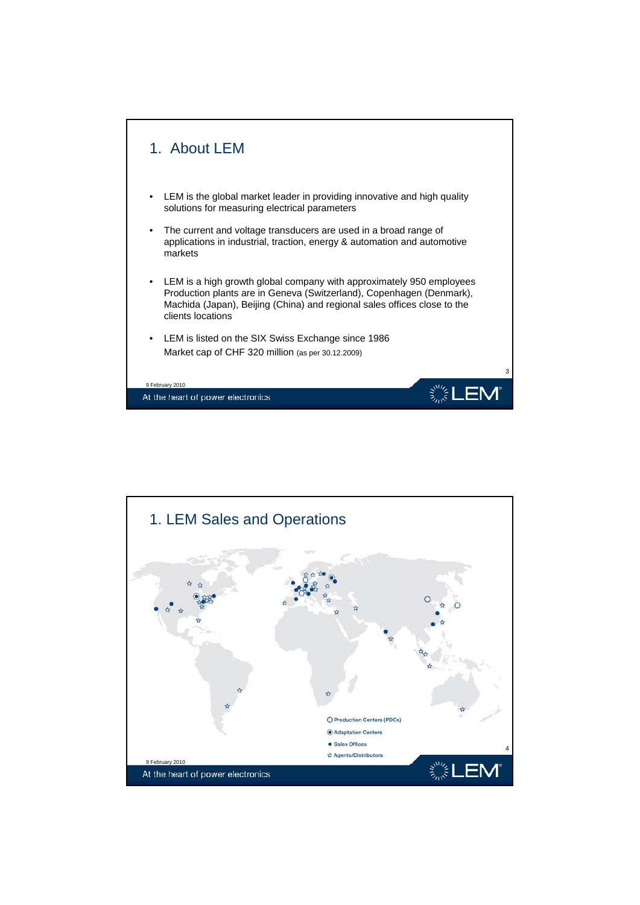

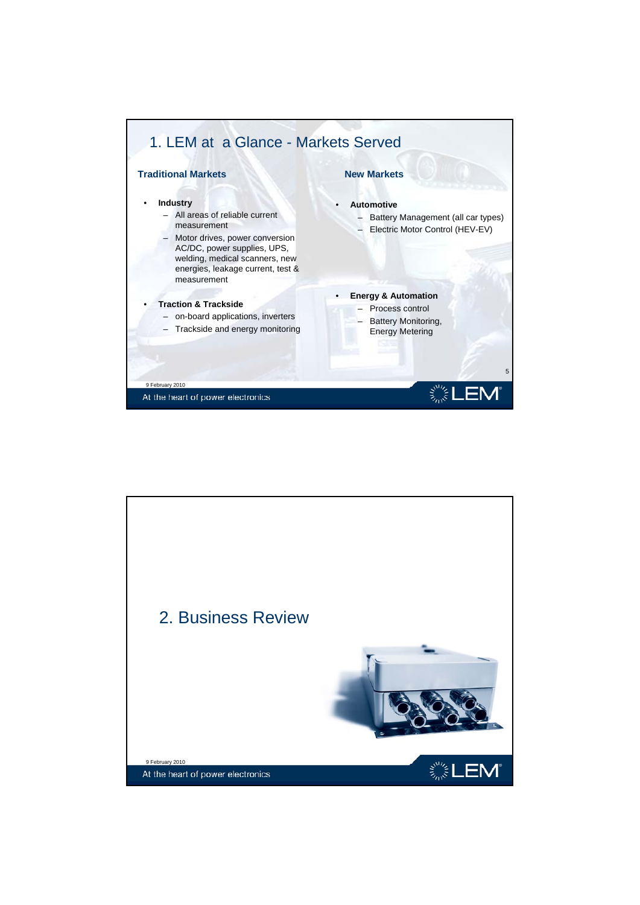

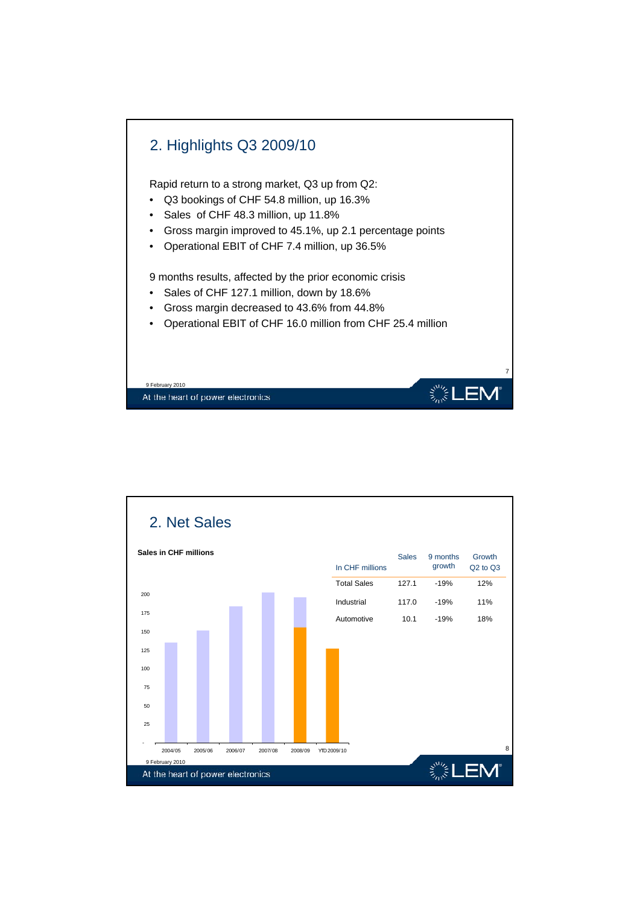

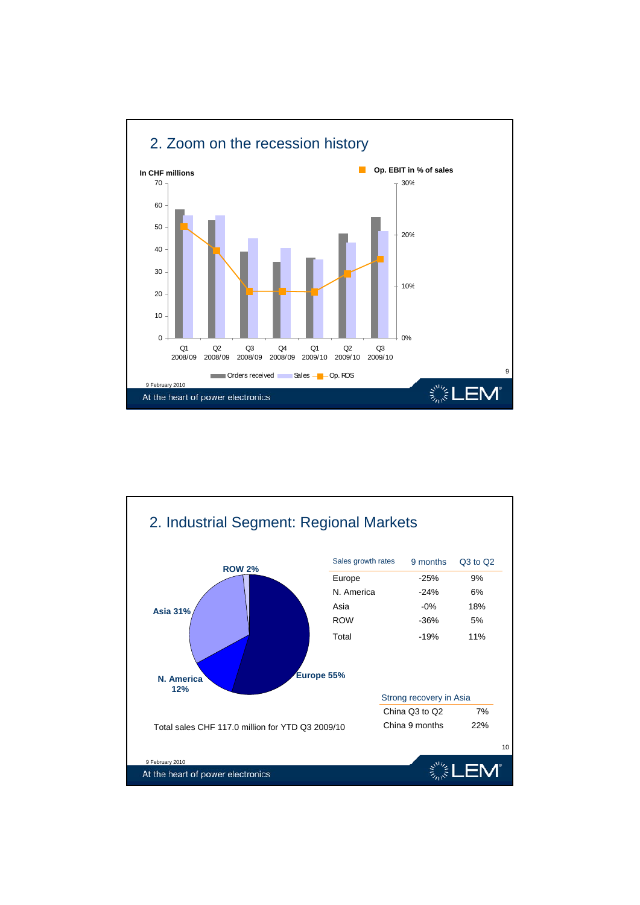

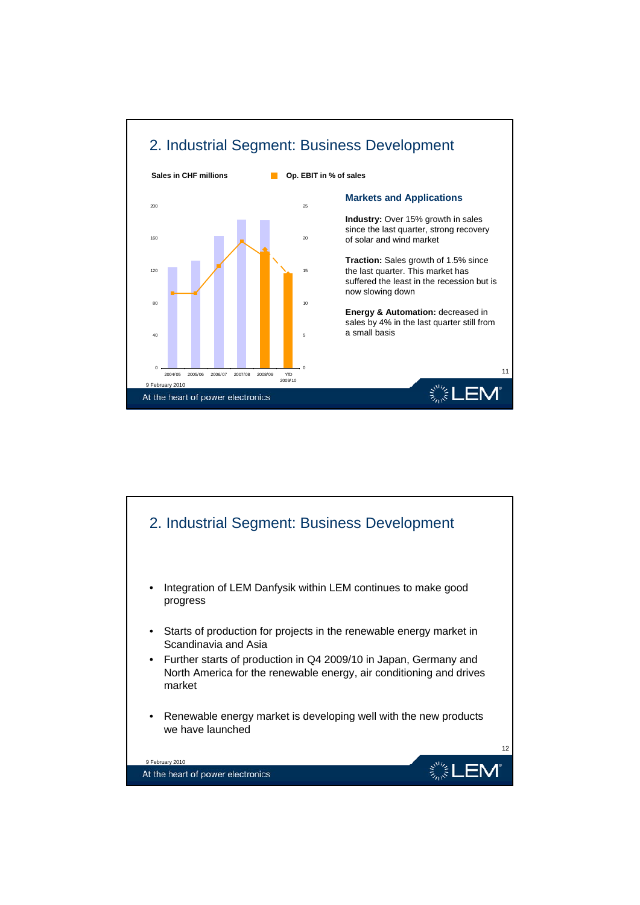

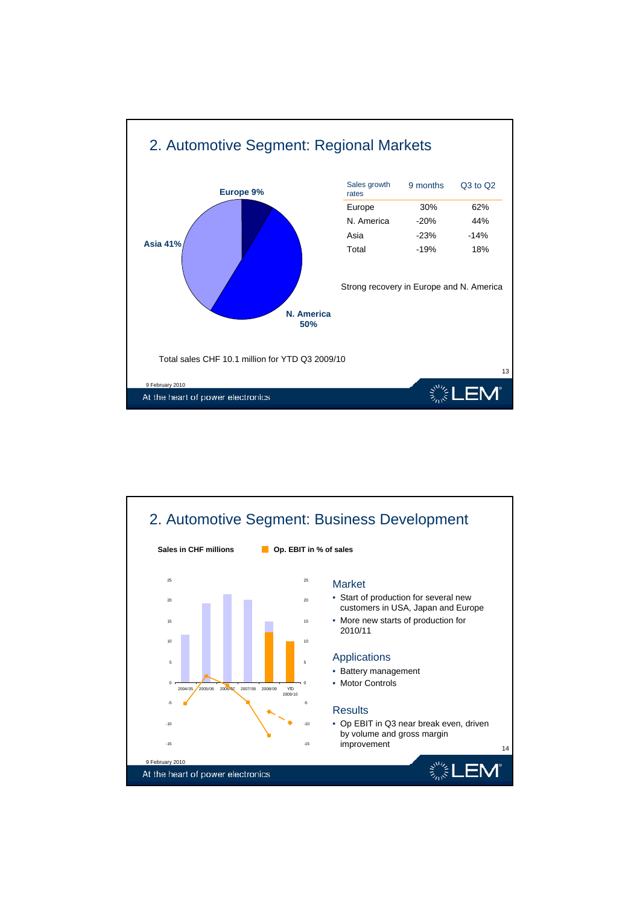

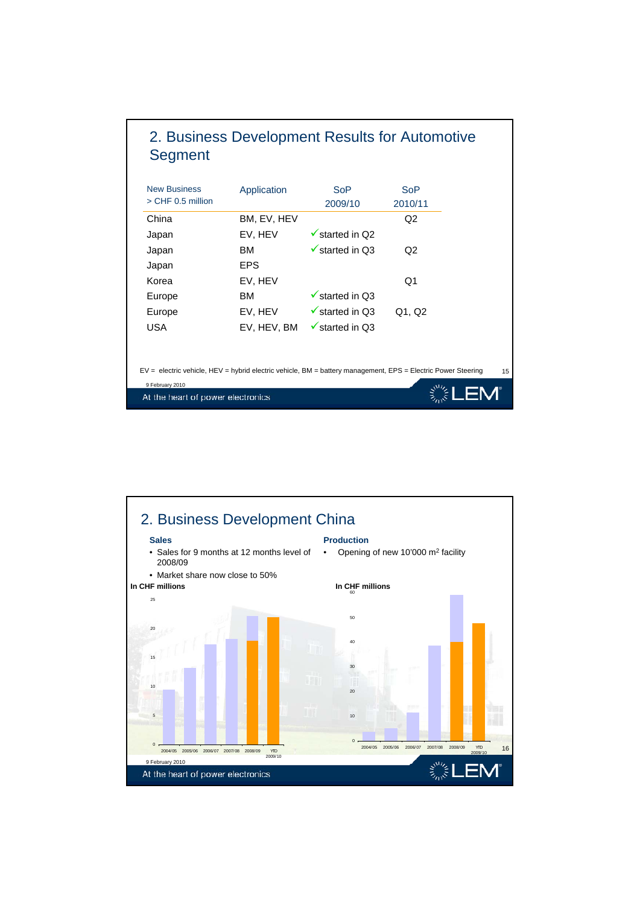

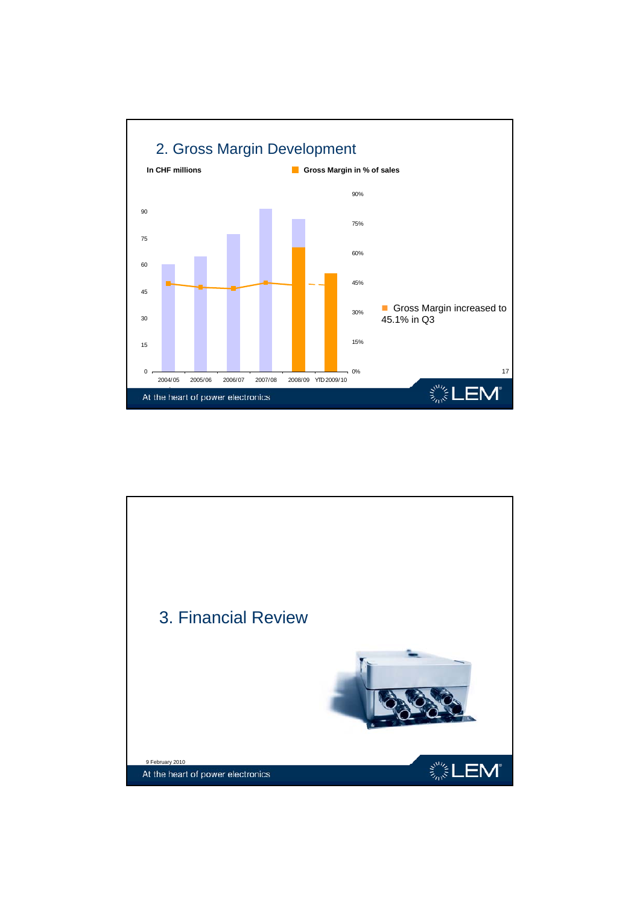

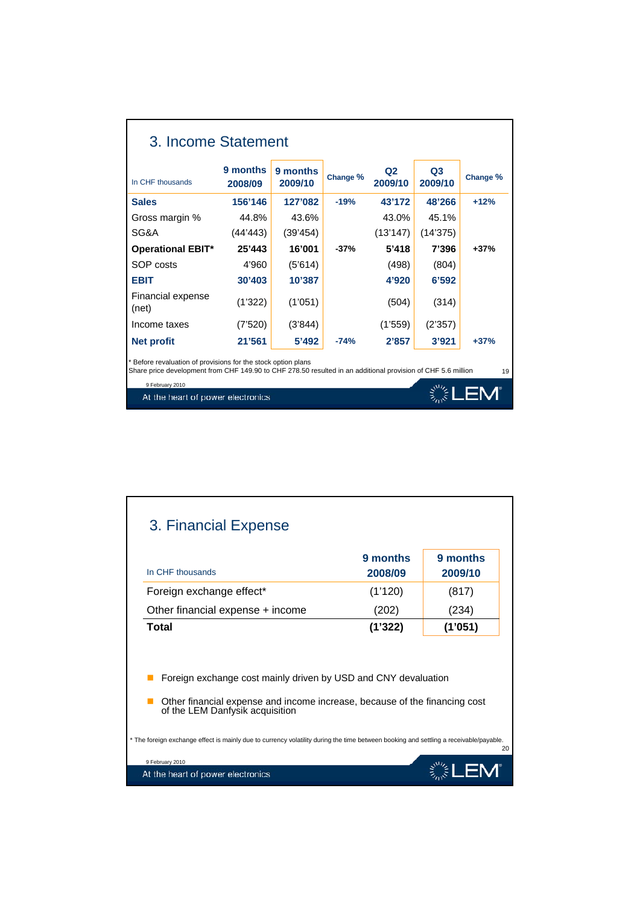| 3. Income Statement                                                                                                                                                           |                     |                     |          |                           |                           |          |
|-------------------------------------------------------------------------------------------------------------------------------------------------------------------------------|---------------------|---------------------|----------|---------------------------|---------------------------|----------|
| In CHF thousands                                                                                                                                                              | 9 months<br>2008/09 | 9 months<br>2009/10 | Change % | Q <sub>2</sub><br>2009/10 | Q <sub>3</sub><br>2009/10 | Change % |
| <b>Sales</b>                                                                                                                                                                  | 156'146             | 127'082             | $-19%$   | 43'172                    | 48'266                    | $+12%$   |
| Gross margin %                                                                                                                                                                | 44.8%               | 43.6%               |          | 43.0%                     | 45.1%                     |          |
| SG&A                                                                                                                                                                          | (44'443)            | (39'454)            |          | (13'147)                  | (14'375)                  |          |
| <b>Operational EBIT*</b>                                                                                                                                                      | 25'443              | 16'001              | $-37%$   | 5'418                     | 7'396                     | $+37%$   |
| SOP costs                                                                                                                                                                     | 4'960               | (5'614)             |          | (498)                     | (804)                     |          |
| <b>EBIT</b>                                                                                                                                                                   | 30'403              | 10'387              |          | 4'920                     | 6'592                     |          |
| Financial expense<br>(net)                                                                                                                                                    | (1'322)             | (1'051)             |          | (504)                     | (314)                     |          |
| Income taxes                                                                                                                                                                  | (7'520)             | (3'844)             |          | (1'559)                   | (2'357)                   |          |
| <b>Net profit</b>                                                                                                                                                             | 21'561              | 5'492               | $-74%$   | 2'857                     | 3'921                     | $+37%$   |
| * Before revaluation of provisions for the stock option plans<br>Share price development from CHF 149.90 to CHF 278.50 resulted in an additional provision of CHF 5.6 million |                     |                     |          |                           |                           | 19       |
| 9 February 2010<br>At the heart of power electronics                                                                                                                          |                     |                     |          |                           |                           |          |

| (1'120)<br>(202)<br>(1'322)                                    | (817)<br>(234)<br>(1'051)                                                                                                                                                                                           |
|----------------------------------------------------------------|---------------------------------------------------------------------------------------------------------------------------------------------------------------------------------------------------------------------|
|                                                                |                                                                                                                                                                                                                     |
|                                                                |                                                                                                                                                                                                                     |
|                                                                |                                                                                                                                                                                                                     |
| Foreign exchange cost mainly driven by USD and CNY devaluation | Other financial expense and income increase, because of the financing cost<br>* The foreign exchange effect is mainly due to currency volatility during the time between booking and settling a receivable/payable. |
|                                                                |                                                                                                                                                                                                                     |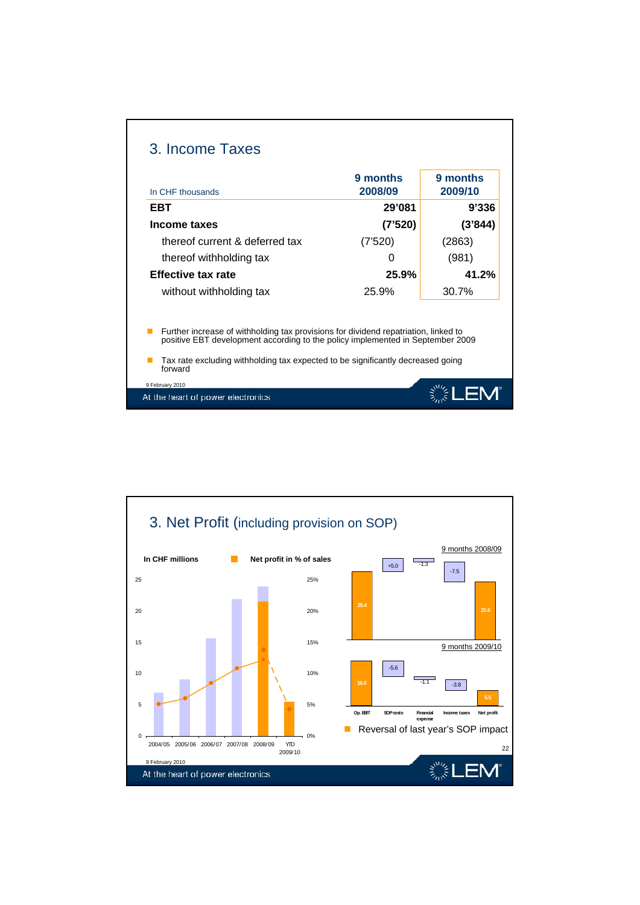|                                                                                                                                                                       | 9 months | 9 months |  |
|-----------------------------------------------------------------------------------------------------------------------------------------------------------------------|----------|----------|--|
| In CHF thousands                                                                                                                                                      | 2008/09  | 2009/10  |  |
| EBT                                                                                                                                                                   | 29'081   | 9'336    |  |
| Income taxes                                                                                                                                                          | (7'520)  | (3'844)  |  |
| thereof current & deferred tax                                                                                                                                        | (7'520)  | (2863)   |  |
| thereof withholding tax                                                                                                                                               | O        | (981)    |  |
| <b>Effective tax rate</b>                                                                                                                                             | 25.9%    | 41.2%    |  |
| without withholding tax                                                                                                                                               | 25.9%    | 30.7%    |  |
| Further increase of withholding tax provisions for dividend repatriation, linked to<br>positive EBT development according to the policy implemented in September 2009 |          |          |  |
| Tax rate excluding withholding tax expected to be significantly decreased going<br>forward                                                                            |          |          |  |

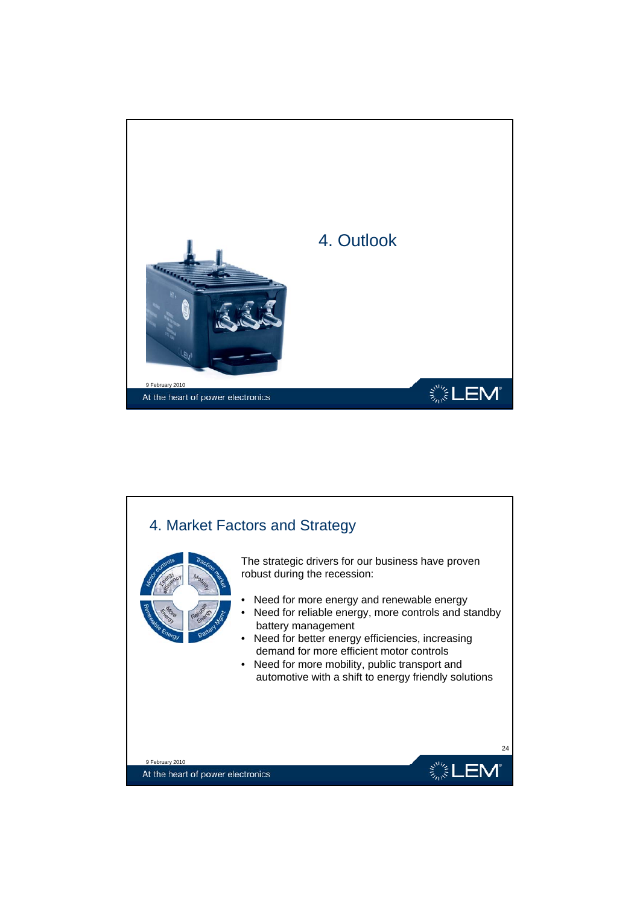